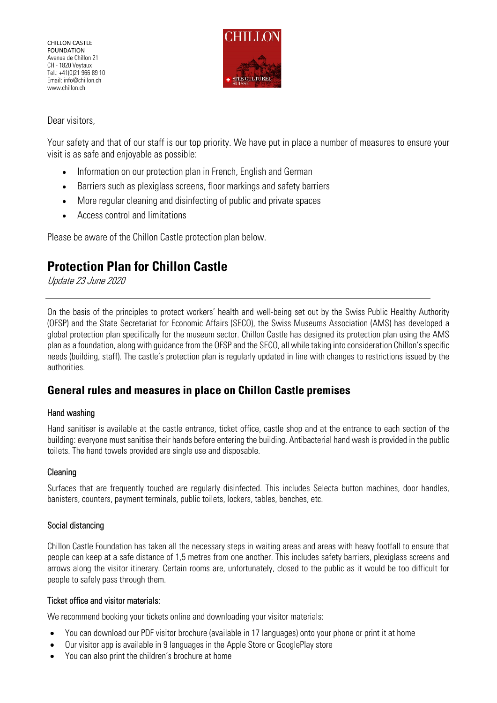CHILLON CASTLE **FOUNDATION** Avenue de Chillon 21 CH - 1820 Veytaux Tel.: +41(0)21 966 89 10 Email: info@chillon.ch www.chillon.ch



Dear visitors,

Your safety and that of our staff is our top priority. We have put in place a number of measures to ensure your visit is as safe and enjoyable as possible:

- Information on our protection plan in French, English and German
- Barriers such as plexiglass screens, floor markings and safety barriers
- More regular cleaning and disinfecting of public and private spaces
- Access control and limitations

Please be aware of the Chillon Castle protection plan below.

# **Protection Plan for Chillon Castle**

Update 23 June 2020

On the basis of the principles to protect workers' health and well-being set out by the Swiss Public Healthy Authority (OFSP) and the State Secretariat for Economic Affairs (SECO), the Swiss Museums Association (AMS) has developed a global protection plan specifically for the museum sector. Chillon Castle has designed its protection plan using the AMS plan as a foundation, along with guidance from the OFSP and the SECO, all while taking into consideration Chillon's specific needs (building, staff). The castle's protection plan is regularly updated in line with changes to restrictions issued by the authorities.

# **General rules and measures in place on Chillon Castle premises**

# Hand washing

Hand sanitiser is available at the castle entrance, ticket office, castle shop and at the entrance to each section of the building: everyone must sanitise their hands before entering the building. Antibacterial hand wash is provided in the public toilets. The hand towels provided are single use and disposable.

# Cleaning

Surfaces that are frequently touched are regularly disinfected. This includes Selecta button machines, door handles, banisters, counters, payment terminals, public toilets, lockers, tables, benches, etc.

# Social distancing

Chillon Castle Foundation has taken all the necessary steps in waiting areas and areas with heavy footfall to ensure that people can keep at a safe distance of 1,5 metres from one another. This includes safety barriers, plexiglass screens and arrows along the visitor itinerary. Certain rooms are, unfortunately, closed to the public as it would be too difficult for people to safely pass through them.

# Ticket office and visitor materials:

We recommend booking your tickets online and downloading your visitor materials:

- You can download our PDF visitor brochure (available in 17 languages) onto your phone or print it at home
- Our visitor app is available in 9 languages in the Apple Store or GooglePlay store
- You can also print the children's brochure at home